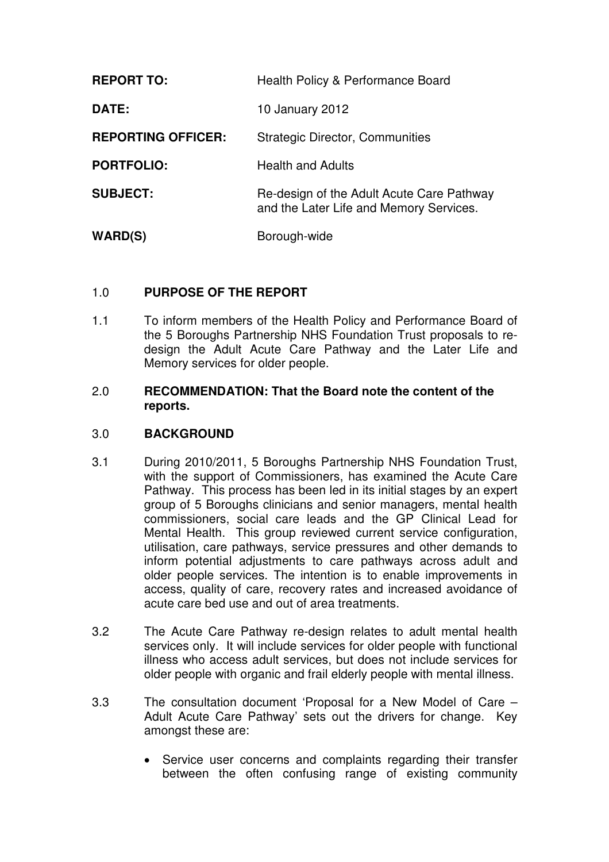| <b>REPORT TO:</b>         | Health Policy & Performance Board                                                    |  |
|---------------------------|--------------------------------------------------------------------------------------|--|
| DATE:                     | 10 January 2012                                                                      |  |
| <b>REPORTING OFFICER:</b> | <b>Strategic Director, Communities</b>                                               |  |
| <b>PORTFOLIO:</b>         | <b>Health and Adults</b>                                                             |  |
| <b>SUBJECT:</b>           | Re-design of the Adult Acute Care Pathway<br>and the Later Life and Memory Services. |  |
| <b>WARD(S)</b>            | Borough-wide                                                                         |  |

# 1.0 **PURPOSE OF THE REPORT**

1.1 To inform members of the Health Policy and Performance Board of the 5 Boroughs Partnership NHS Foundation Trust proposals to redesign the Adult Acute Care Pathway and the Later Life and Memory services for older people.

#### 2.0 **RECOMMENDATION: That the Board note the content of the reports.**

#### 3.0 **BACKGROUND**

- 3.1 During 2010/2011, 5 Boroughs Partnership NHS Foundation Trust, with the support of Commissioners, has examined the Acute Care Pathway. This process has been led in its initial stages by an expert group of 5 Boroughs clinicians and senior managers, mental health commissioners, social care leads and the GP Clinical Lead for Mental Health. This group reviewed current service configuration, utilisation, care pathways, service pressures and other demands to inform potential adjustments to care pathways across adult and older people services. The intention is to enable improvements in access, quality of care, recovery rates and increased avoidance of acute care bed use and out of area treatments.
- 3.2 The Acute Care Pathway re-design relates to adult mental health services only. It will include services for older people with functional illness who access adult services, but does not include services for older people with organic and frail elderly people with mental illness.
- 3.3 The consultation document 'Proposal for a New Model of Care Adult Acute Care Pathway' sets out the drivers for change. Key amongst these are:
	- Service user concerns and complaints regarding their transfer between the often confusing range of existing community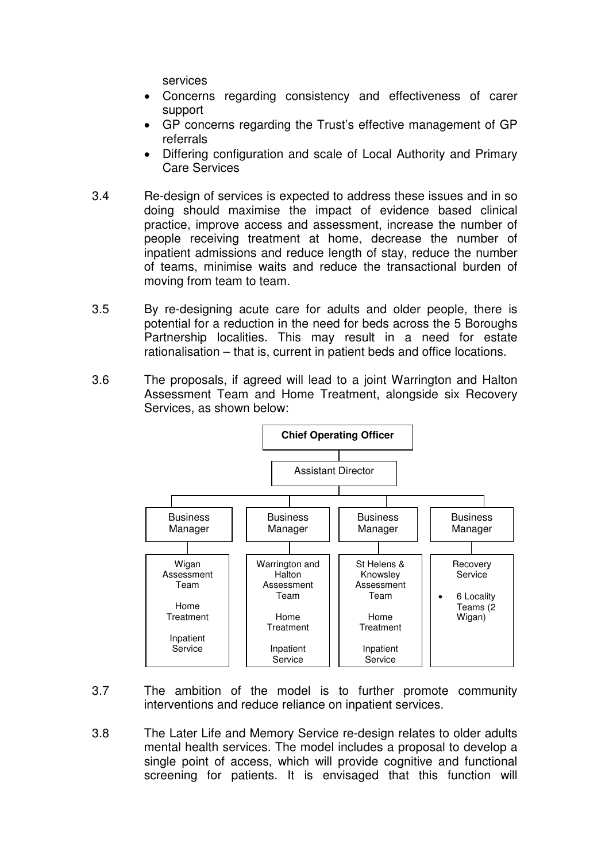services

- Concerns regarding consistency and effectiveness of carer support
- GP concerns regarding the Trust's effective management of GP referrals
- Differing configuration and scale of Local Authority and Primary Care Services
- 3.4 Re-design of services is expected to address these issues and in so doing should maximise the impact of evidence based clinical practice, improve access and assessment, increase the number of people receiving treatment at home, decrease the number of inpatient admissions and reduce length of stay, reduce the number of teams, minimise waits and reduce the transactional burden of moving from team to team.
- 3.5 By re-designing acute care for adults and older people, there is potential for a reduction in the need for beds across the 5 Boroughs Partnership localities. This may result in a need for estate rationalisation – that is, current in patient beds and office locations.
- 3.6 The proposals, if agreed will lead to a joint Warrington and Halton Assessment Team and Home Treatment, alongside six Recovery Services, as shown below:



- 3.7 The ambition of the model is to further promote community interventions and reduce reliance on inpatient services.
- 3.8 The Later Life and Memory Service re-design relates to older adults mental health services. The model includes a proposal to develop a single point of access, which will provide cognitive and functional screening for patients. It is envisaged that this function will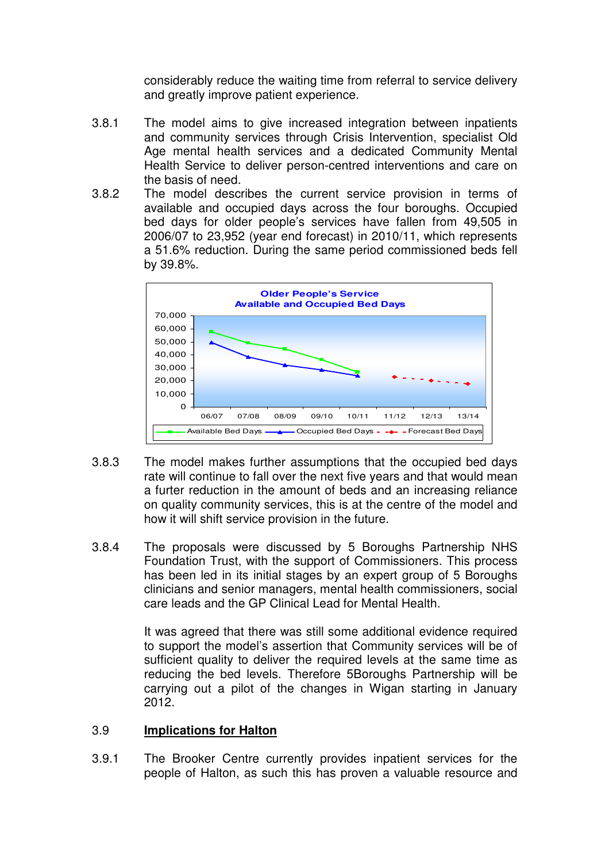considerably reduce the waiting time from referral to service delivery and greatly improve patient experience.

- 3.8.1 The model aims to give increased integration between inpatients and community services through Crisis Intervention, specialist Old Age mental health services and a dedicated Community Mental Health Service to deliver person-centred interventions and care on the basis of need.
- 3.8.2 The model describes the current service provision in terms of available and occupied days across the four boroughs. Occupied bed days for older people's services have fallen from 49,505 in 2006/07 to 23,952 (year end forecast) in 2010/11, which represents a 51.6% reduction. During the same period commissioned beds fell by 39.8%.



- 3.8.3 The model makes further assumptions that the occupied bed days rate will continue to fall over the next five years and that would mean a furter reduction in the amount of beds and an increasing reliance on quality community services, this is at the centre of the model and how it will shift service provision in the future.
- 3.8.4 The proposals were discussed by 5 Boroughs Partnership NHS Foundation Trust, with the support of Commissioners. This process has been led in its initial stages by an expert group of 5 Boroughs clinicians and senior managers, mental health commissioners, social care leads and the GP Clinical Lead for Mental Health.

It was agreed that there was still some additional evidence required to support the model's assertion that Community services will be of sufficient quality to deliver the required levels at the same time as reducing the bed levels. Therefore 5Boroughs Partnership will be carrying out a pilot of the changes in Wigan starting in January 2012.

#### 3.9 **Implications for Halton**

3.9.1 The Brooker Centre currently provides inpatient services for the people of Halton, as such this has proven a valuable resource and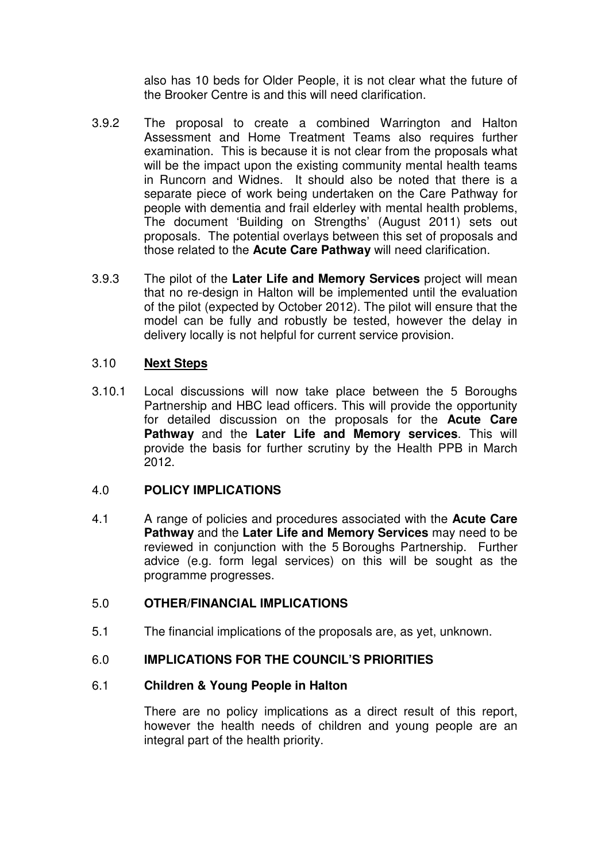also has 10 beds for Older People, it is not clear what the future of the Brooker Centre is and this will need clarification.

- 3.9.2 The proposal to create a combined Warrington and Halton Assessment and Home Treatment Teams also requires further examination. This is because it is not clear from the proposals what will be the impact upon the existing community mental health teams in Runcorn and Widnes. It should also be noted that there is a separate piece of work being undertaken on the Care Pathway for people with dementia and frail elderley with mental health problems, The document 'Building on Strengths' (August 2011) sets out proposals. The potential overlays between this set of proposals and those related to the **Acute Care Pathway** will need clarification.
- 3.9.3 The pilot of the **Later Life and Memory Services** project will mean that no re-design in Halton will be implemented until the evaluation of the pilot (expected by October 2012). The pilot will ensure that the model can be fully and robustly be tested, however the delay in delivery locally is not helpful for current service provision.

# 3.10 **Next Steps**

3.10.1 Local discussions will now take place between the 5 Boroughs Partnership and HBC lead officers. This will provide the opportunity for detailed discussion on the proposals for the **Acute Care Pathway** and the **Later Life and Memory services**. This will provide the basis for further scrutiny by the Health PPB in March 2012.

#### 4.0 **POLICY IMPLICATIONS**

4.1 A range of policies and procedures associated with the **Acute Care Pathway** and the **Later Life and Memory Services** may need to be reviewed in conjunction with the 5 Boroughs Partnership. Further advice (e.g. form legal services) on this will be sought as the programme progresses.

# 5.0 **OTHER/FINANCIAL IMPLICATIONS**

5.1 The financial implications of the proposals are, as yet, unknown.

# 6.0 **IMPLICATIONS FOR THE COUNCIL'S PRIORITIES**

#### 6.1 **Children & Young People in Halton**

There are no policy implications as a direct result of this report, however the health needs of children and young people are an integral part of the health priority.